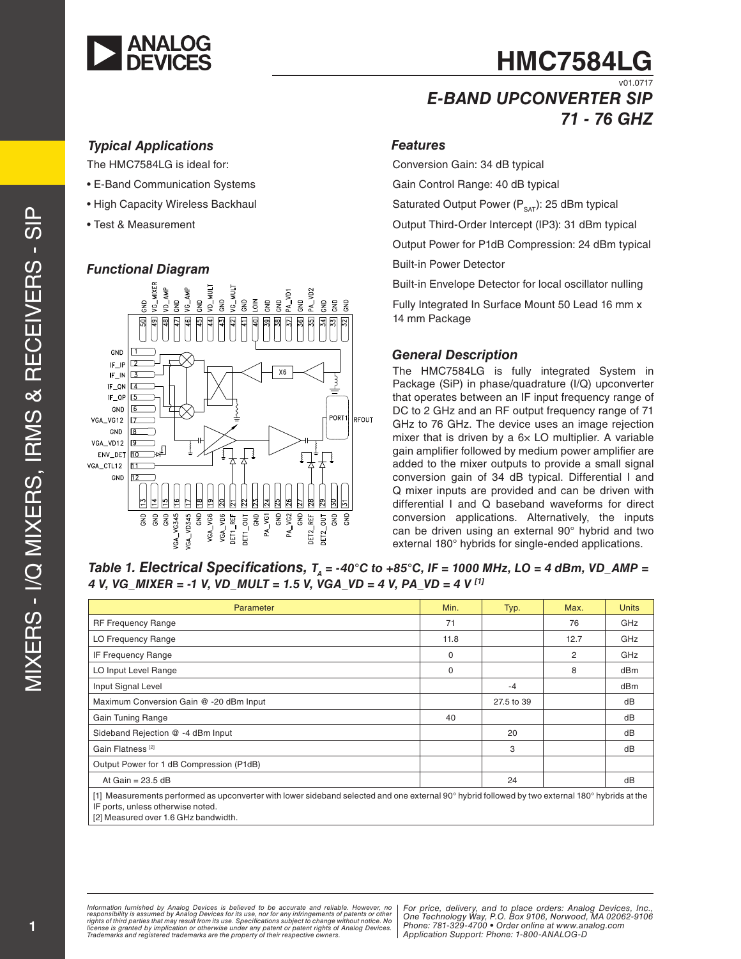

## **HMC7584LG** v01.0717

## *E-BAND UPCONVERTER SIP 71 - 76 GHz*

#### *Typical Applications*

The HMC7584LG is ideal for:

- E-Band Communication Systems
- High Capacity Wireless Backhaul
- Test & Measurement

#### *Functional Diagram*



#### *Features*

Conversion Gain: 34 dB typical

Gain Control Range: 40 dB typical

Saturated Output Power  $(P_{SAT})$ : 25 dBm typical

Output Third-Order Intercept (IP3): 31 dBm typical

Output Power for P1dB Compression: 24 dBm typical

Built-in Power Detector

Built-in Envelope Detector for local oscillator nulling

Fully Integrated In Surface Mount 50 Lead 16 mm x 14 mm Package

#### *General Description*

The HMC7584LG is fully integrated System in Package (SiP) in phase/quadrature (I/Q) upconverter that operates between an IF input frequency range of DC to 2 GHz and an RF output frequency range of 71 GHz to 76 GHz. The device uses an image rejection mixer that is driven by a  $6\times$  LO multiplier. A variable gain amplifier followed by medium power amplifier are added to the mixer outputs to provide a small signal conversion gain of 34 dB typical. Differential I and Q mixer inputs are provided and can be driven with differential I and Q baseband waveforms for direct conversion applications. Alternatively, the inputs can be driven using an external 90° hybrid and two external 180° hybrids for single-ended applications.

Table 1. Electrical Specifications,  $T_a = -40^\circ \text{C}$  to  $+85^\circ \text{C}$ , IF = 1000 MHz, LO = 4 dBm, VD\_AMP = *4 V, VG\_MIXER = -1 V, VD\_MULT = 1.5 V, VGA\_VD = 4 V, PA\_VD = 4 V [1]*

| Parameter                                                                                                                                                                                                                    | Min. | Typ.       | Max. | <b>Units</b> |
|------------------------------------------------------------------------------------------------------------------------------------------------------------------------------------------------------------------------------|------|------------|------|--------------|
| <b>RF Frequency Range</b>                                                                                                                                                                                                    | 71   |            | 76   | GHz          |
| LO Frequency Range                                                                                                                                                                                                           | 11.8 |            | 12.7 | GHz          |
| <b>IF Frequency Range</b>                                                                                                                                                                                                    | 0    |            | 2    | GHz          |
| LO Input Level Range                                                                                                                                                                                                         | 0    |            | 8    | dBm          |
| Input Signal Level                                                                                                                                                                                                           |      | $-4$       |      | dBm          |
| Maximum Conversion Gain @ -20 dBm Input                                                                                                                                                                                      |      | 27.5 to 39 |      | dB           |
| Gain Tuning Range                                                                                                                                                                                                            | 40   |            |      | dB           |
| Sideband Rejection @ -4 dBm Input                                                                                                                                                                                            |      | 20         |      | dB           |
| Gain Flatness <sup>[2]</sup>                                                                                                                                                                                                 |      | 3          |      | dB           |
| Output Power for 1 dB Compression (P1dB)                                                                                                                                                                                     |      |            |      |              |
| At Gain = $23.5$ dB                                                                                                                                                                                                          |      | 24         |      | dB           |
| [1] Measurements performed as upconverter with lower sideband selected and one external 90° hybrid followed by two external 180° hybrids at the<br>IF ports, unless otherwise noted.<br>[2] Measured over 1.6 GHz bandwidth. |      |            |      |              |

*Information furnished by Analog Devices is believed to be accurate and reliable. However, no responsibility is assumed by Analog Devices for its use, nor for any infringements of patents or other rights of third parties that may result from its use. Specifications subject to change without notice. No*  license is granted by implication or otherwise under any patent or patent rights of Analog Devices.<br>Trademarks and registered trademarks are the property of their respective owners.